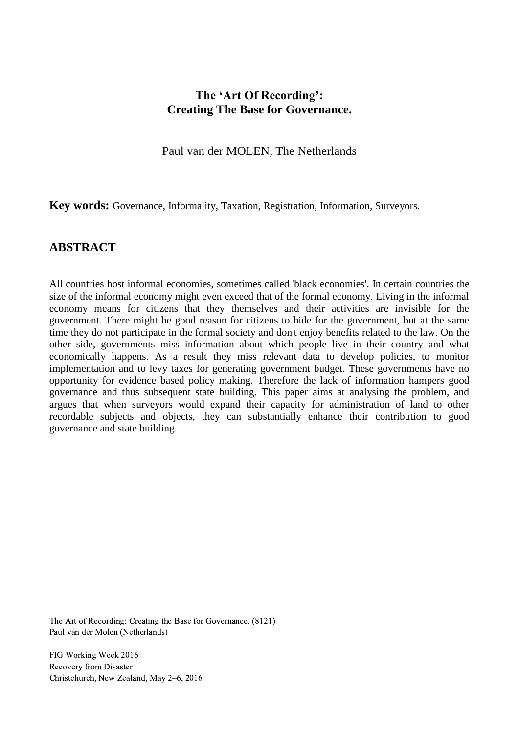# **The 'Art Of Recording': Creating The Base for Governance.**

Paul van der MOLEN, The Netherlands

**Key words:** Governance, Informality, Taxation, Registration, Information, Surveyors.

## **ABSTRACT**

All countries host informal economies, sometimes called 'black economies'. In certain countries the size of the informal economy might even exceed that of the formal economy. Living in the informal economy means for citizens that they themselves and their activities are invisible for the government. There might be good reason for citizens to hide for the government, but at the same time they do not participate in the formal society and don't enjoy benefits related to the law. On the other side, governments miss information about which people live in their country and what economically happens. As a result they miss relevant data to develop policies, to monitor implementation and to levy taxes for generating government budget. These governments have no opportunity for evidence based policy making. Therefore the lack of information hampers good governance and thus subsequent state building. This paper aims at analysing the problem, and argues that when surveyors would expand their capacity for administration of land to other recordable subjects and objects, they can substantially enhance their contribution to good governance and state building.

The Art of Recording: Creating the Base for Governance. (8121) Paul van der Molen (Netherlands)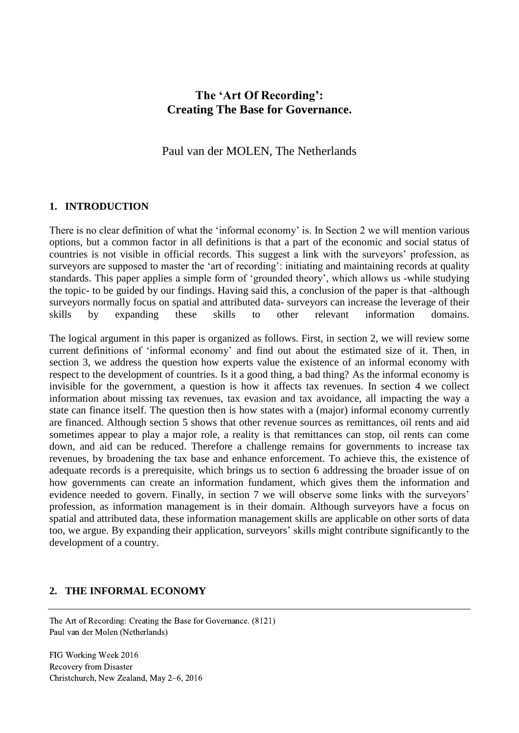# **The 'Art Of Recording': Creating The Base for Governance.**

Paul van der MOLEN, The Netherlands

#### **1. INTRODUCTION**

There is no clear definition of what the 'informal economy' is. In Section 2 we will mention various options, but a common factor in all definitions is that a part of the economic and social status of countries is not visible in official records. This suggest a link with the surveyors' profession, as surveyors are supposed to master the 'art of recording': initiating and maintaining records at quality standards. This paper applies a simple form of 'grounded theory', which allows us -while studying the topic- to be guided by our findings. Having said this, a conclusion of the paper is that -although surveyors normally focus on spatial and attributed data- surveyors can increase the leverage of their skills by expanding these skills to other relevant information domains.

The logical argument in this paper is organized as follows. First, in section 2, we will review some current definitions of 'informal economy' and find out about the estimated size of it. Then, in section 3, we address the question how experts value the existence of an informal economy with respect to the development of countries. Is it a good thing, a bad thing? As the informal economy is invisible for the government, a question is how it affects tax revenues. In section 4 we collect information about missing tax revenues, tax evasion and tax avoidance, all impacting the way a state can finance itself. The question then is how states with a (major) informal economy currently are financed. Although section 5 shows that other revenue sources as remittances, oil rents and aid sometimes appear to play a major role, a reality is that remittances can stop, oil rents can come down, and aid can be reduced. Therefore a challenge remains for governments to increase tax revenues, by broadening the tax base and enhance enforcement. To achieve this, the existence of adequate records is a prerequisite, which brings us to section 6 addressing the broader issue of on how governments can create an information fundament, which gives them the information and evidence needed to govern. Finally, in section 7 we will observe some links with the surveyors' profession, as information management is in their domain. Although surveyors have a focus on spatial and attributed data, these information management skills are applicable on other sorts of data too, we argue. By expanding their application, surveyors' skills might contribute significantly to the development of a country.

## **2. THE INFORMAL ECONOMY**

The Art of Recording: Creating the Base for Governance. (8121) Paul van der Molen (Netherlands)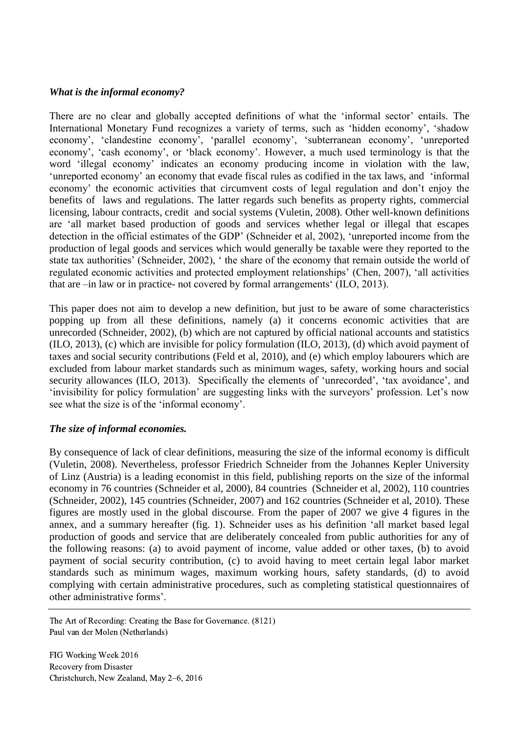#### *What is the informal economy?*

There are no clear and globally accepted definitions of what the 'informal sector' entails. The International Monetary Fund recognizes a variety of terms, such as 'hidden economy', 'shadow economy', 'clandestine economy', 'parallel economy', 'subterranean economy', 'unreported economy', 'cash economy', or 'black economy'. However, a much used terminology is that the word 'illegal economy' indicates an economy producing income in violation with the law, 'unreported economy' an economy that evade fiscal rules as codified in the tax laws, and 'informal economy' the economic activities that circumvent costs of legal regulation and don't enjoy the benefits of laws and regulations. The latter regards such benefits as property rights, commercial licensing, labour contracts, credit and social systems (Vuletin, 2008). Other well-known definitions are 'all market based production of goods and services whether legal or illegal that escapes detection in the official estimates of the GDP' (Schneider et al, 2002), 'unreported income from the production of legal goods and services which would generally be taxable were they reported to the state tax authorities' (Schneider, 2002), ' the share of the economy that remain outside the world of regulated economic activities and protected employment relationships' (Chen, 2007), 'all activities that are –in law or in practice- not covered by formal arrangements' (ILO, 2013).

This paper does not aim to develop a new definition, but just to be aware of some characteristics popping up from all these definitions, namely (a) it concerns economic activities that are unrecorded (Schneider, 2002), (b) which are not captured by official national accounts and statistics (ILO, 2013), (c) which are invisible for policy formulation (ILO, 2013), (d) which avoid payment of taxes and social security contributions (Feld et al, 2010), and (e) which employ labourers which are excluded from labour market standards such as minimum wages, safety, working hours and social security allowances (ILO, 2013). Specifically the elements of 'unrecorded', 'tax avoidance', and 'invisibility for policy formulation' are suggesting links with the surveyors' profession. Let's now see what the size is of the 'informal economy'.

## *The size of informal economies.*

By consequence of lack of clear definitions, measuring the size of the informal economy is difficult (Vuletin, 2008). Nevertheless, professor Friedrich Schneider from the Johannes Kepler University of Linz (Austria) is a leading economist in this field, publishing reports on the size of the informal economy in 76 countries (Schneider et al, 2000), 84 countries (Schneider et al, 2002), 110 countries (Schneider, 2002), 145 countries (Schneider, 2007) and 162 countries (Schneider et al, 2010). These figures are mostly used in the global discourse. From the paper of 2007 we give 4 figures in the annex, and a summary hereafter (fig. 1). Schneider uses as his definition 'all market based legal production of goods and service that are deliberately concealed from public authorities for any of the following reasons: (a) to avoid payment of income, value added or other taxes, (b) to avoid payment of social security contribution, (c) to avoid having to meet certain legal labor market standards such as minimum wages, maximum working hours, safety standards, (d) to avoid complying with certain administrative procedures, such as completing statistical questionnaires of other administrative forms'.

The Art of Recording: Creating the Base for Governance. (8121) Paul van der Molen (Netherlands)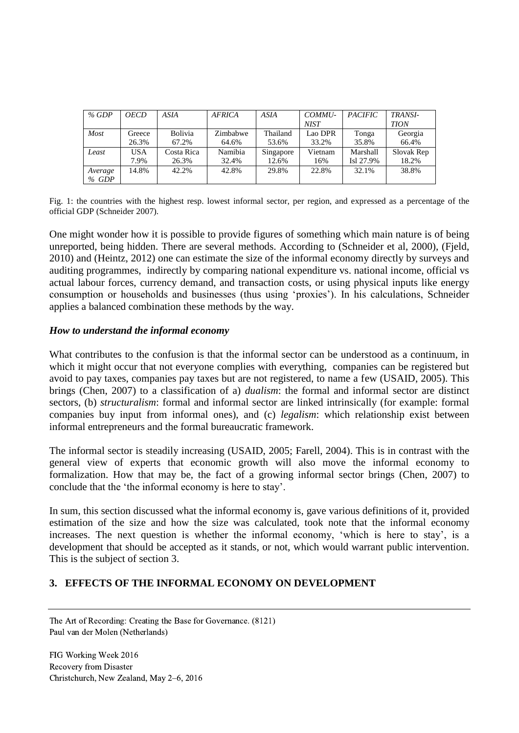| % GDP   | <b>OECD</b> | ASIA           | <b>AFRICA</b> | ASIA      | COMMU-  | <b>PACIFIC</b> | <b>TRANSI-</b> |
|---------|-------------|----------------|---------------|-----------|---------|----------------|----------------|
|         |             |                |               |           | NIST    |                | <b>TION</b>    |
| Most    | Greece      | <b>Bolivia</b> | Zimbabwe      | Thailand  | Lao DPR | Tonga          | Georgia        |
|         | 26.3%       | 67.2%          | 64.6%         | 53.6%     | 33.2%   | 35.8%          | 66.4%          |
| Least   | <b>USA</b>  | Costa Rica     | Namibia       | Singapore | Vietnam | Marshall       | Slovak Rep     |
|         | 7.9%        | 26.3%          | 32.4%         | 12.6%     | 16%     | Isl 27.9%      | 18.2%          |
| Average | 14.8%       | 42.2%          | 42.8%         | 29.8%     | 22.8%   | 32.1%          | 38.8%          |
| $%$ GDP |             |                |               |           |         |                |                |

Fig. 1: the countries with the highest resp. lowest informal sector, per region, and expressed as a percentage of the official GDP (Schneider 2007).

One might wonder how it is possible to provide figures of something which main nature is of being unreported, being hidden. There are several methods. According to (Schneider et al, 2000), (Fjeld, 2010) and (Heintz, 2012) one can estimate the size of the informal economy directly by surveys and auditing programmes, indirectly by comparing national expenditure vs. national income, official vs actual labour forces, currency demand, and transaction costs, or using physical inputs like energy consumption or households and businesses (thus using 'proxies'). In his calculations, Schneider applies a balanced combination these methods by the way.

#### *How to understand the informal economy*

What contributes to the confusion is that the informal sector can be understood as a continuum, in which it might occur that not everyone complies with everything, companies can be registered but avoid to pay taxes, companies pay taxes but are not registered, to name a few (USAID, 2005). This brings (Chen, 2007) to a classification of a) *dualism*: the formal and informal sector are distinct sectors, (b) *structuralism*: formal and informal sector are linked intrinsically (for example: formal companies buy input from informal ones), and (c) *legalism*: which relationship exist between informal entrepreneurs and the formal bureaucratic framework.

The informal sector is steadily increasing (USAID, 2005; Farell, 2004). This is in contrast with the general view of experts that economic growth will also move the informal economy to formalization. How that may be, the fact of a growing informal sector brings (Chen, 2007) to conclude that the 'the informal economy is here to stay'.

In sum, this section discussed what the informal economy is, gave various definitions of it, provided estimation of the size and how the size was calculated, took note that the informal economy increases. The next question is whether the informal economy, 'which is here to stay', is a development that should be accepted as it stands, or not, which would warrant public intervention. This is the subject of section 3.

## **3. EFFECTS OF THE INFORMAL ECONOMY ON DEVELOPMENT**

The Art of Recording: Creating the Base for Governance. (8121) Paul van der Molen (Netherlands)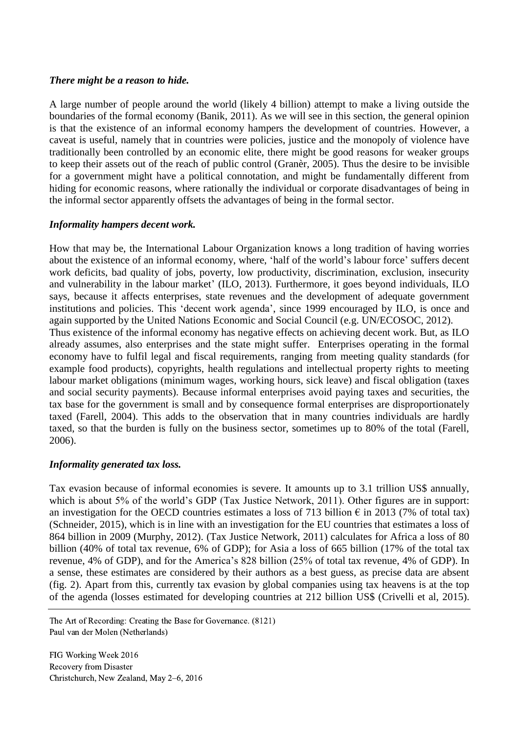#### *There might be a reason to hide.*

A large number of people around the world (likely 4 billion) attempt to make a living outside the boundaries of the formal economy (Banik, 2011). As we will see in this section, the general opinion is that the existence of an informal economy hampers the development of countries. However, a caveat is useful, namely that in countries were policies, justice and the monopoly of violence have traditionally been controlled by an economic elite, there might be good reasons for weaker groups to keep their assets out of the reach of public control (Granèr, 2005). Thus the desire to be invisible for a government might have a political connotation, and might be fundamentally different from hiding for economic reasons, where rationally the individual or corporate disadvantages of being in the informal sector apparently offsets the advantages of being in the formal sector.

## *Informality hampers decent work.*

How that may be, the International Labour Organization knows a long tradition of having worries about the existence of an informal economy, where, 'half of the world's labour force' suffers decent work deficits, bad quality of jobs, poverty, low productivity, discrimination, exclusion, insecurity and vulnerability in the labour market' (ILO, 2013). Furthermore, it goes beyond individuals, ILO says, because it affects enterprises, state revenues and the development of adequate government institutions and policies. This 'decent work agenda', since 1999 encouraged by ILO, is once and again supported by the United Nations Economic and Social Council (e.g. UN/ECOSOC, 2012). Thus existence of the informal economy has negative effects on achieving decent work. But, as ILO already assumes, also enterprises and the state might suffer. Enterprises operating in the formal economy have to fulfil legal and fiscal requirements, ranging from meeting quality standards (for example food products), copyrights, health regulations and intellectual property rights to meeting labour market obligations (minimum wages, working hours, sick leave) and fiscal obligation (taxes and social security payments). Because informal enterprises avoid paying taxes and securities, the tax base for the government is small and by consequence formal enterprises are disproportionately taxed (Farell, 2004). This adds to the observation that in many countries individuals are hardly taxed, so that the burden is fully on the business sector, sometimes up to 80% of the total (Farell, 2006).

## *Informality generated tax loss.*

Tax evasion because of informal economies is severe. It amounts up to 3.1 trillion US\$ annually, which is about 5% of the world's GDP (Tax Justice Network, 2011). Other figures are in support: an investigation for the OECD countries estimates a loss of 713 billion  $\epsilon$  in 2013 (7% of total tax) (Schneider, 2015), which is in line with an investigation for the EU countries that estimates a loss of 864 billion in 2009 (Murphy, 2012). (Tax Justice Network, 2011) calculates for Africa a loss of 80 billion (40% of total tax revenue, 6% of GDP); for Asia a loss of 665 billion (17% of the total tax revenue, 4% of GDP), and for the America's 828 billion (25% of total tax revenue, 4% of GDP). In a sense, these estimates are considered by their authors as a best guess, as precise data are absent (fig. 2). Apart from this, currently tax evasion by global companies using tax heavens is at the top of the agenda (losses estimated for developing countries at 212 billion US\$ (Crivelli et al, 2015).

The Art of Recording: Creating the Base for Governance. (8121) Paul van der Molen (Netherlands)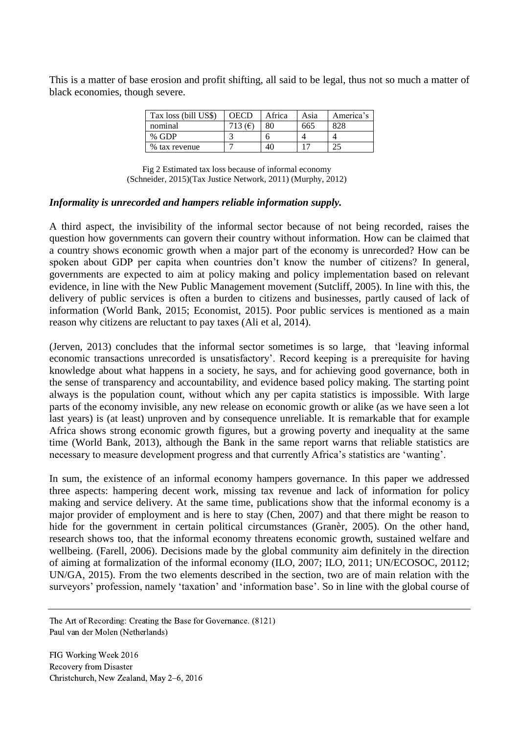This is a matter of base erosion and profit shifting, all said to be legal, thus not so much a matter of black economies, though severe.

| Tax loss (bill US\$) | OECD      | Africa | Asia | America's |
|----------------------|-----------|--------|------|-----------|
| nominal              | 713 $(F)$ | 80     | 665  | 828       |
| % GDP                |           |        |      |           |
| % tax revenue        |           | 40     |      |           |

 Fig 2 Estimated tax loss because of informal economy (Schneider, 2015)(Tax Justice Network, 2011) (Murphy, 2012)

#### *Informality is unrecorded and hampers reliable information supply.*

A third aspect, the invisibility of the informal sector because of not being recorded, raises the question how governments can govern their country without information. How can be claimed that a country shows economic growth when a major part of the economy is unrecorded? How can be spoken about GDP per capita when countries don't know the number of citizens? In general, governments are expected to aim at policy making and policy implementation based on relevant evidence, in line with the New Public Management movement (Sutcliff, 2005). In line with this, the delivery of public services is often a burden to citizens and businesses, partly caused of lack of information (World Bank, 2015; Economist, 2015). Poor public services is mentioned as a main reason why citizens are reluctant to pay taxes (Ali et al, 2014).

(Jerven, 2013) concludes that the informal sector sometimes is so large, that 'leaving informal economic transactions unrecorded is unsatisfactory'. Record keeping is a prerequisite for having knowledge about what happens in a society, he says, and for achieving good governance, both in the sense of transparency and accountability, and evidence based policy making. The starting point always is the population count, without which any per capita statistics is impossible. With large parts of the economy invisible, any new release on economic growth or alike (as we have seen a lot last years) is (at least) unproven and by consequence unreliable. It is remarkable that for example Africa shows strong economic growth figures, but a growing poverty and inequality at the same time (World Bank, 2013), although the Bank in the same report warns that reliable statistics are necessary to measure development progress and that currently Africa's statistics are 'wanting'.

In sum, the existence of an informal economy hampers governance. In this paper we addressed three aspects: hampering decent work, missing tax revenue and lack of information for policy making and service delivery. At the same time, publications show that the informal economy is a major provider of employment and is here to stay (Chen, 2007) and that there might be reason to hide for the government in certain political circumstances (Granèr, 2005). On the other hand, research shows too, that the informal economy threatens economic growth, sustained welfare and wellbeing. (Farell, 2006). Decisions made by the global community aim definitely in the direction of aiming at formalization of the informal economy (ILO, 2007; ILO, 2011; UN/ECOSOC, 20112; UN/GA, 2015). From the two elements described in the section, two are of main relation with the surveyors' profession, namely 'taxation' and 'information base'. So in line with the global course of

The Art of Recording: Creating the Base for Governance. (8121) Paul van der Molen (Netherlands)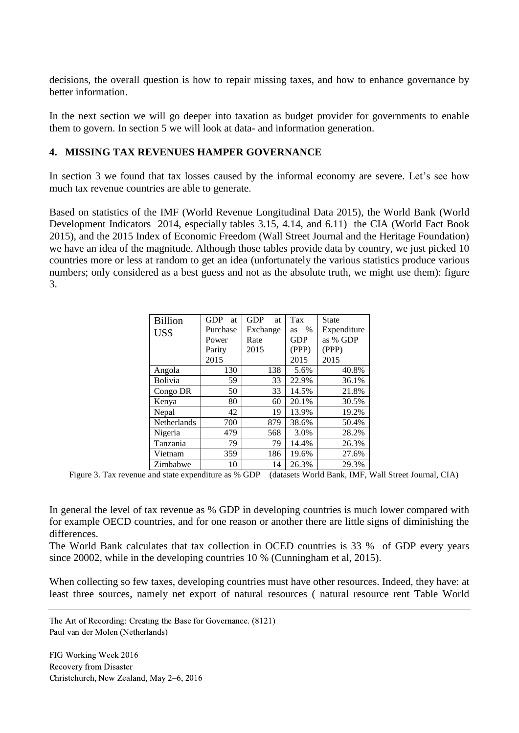decisions, the overall question is how to repair missing taxes, and how to enhance governance by better information.

In the next section we will go deeper into taxation as budget provider for governments to enable them to govern. In section 5 we will look at data- and information generation.

#### **4. MISSING TAX REVENUES HAMPER GOVERNANCE**

In section 3 we found that tax losses caused by the informal economy are severe. Let's see how much tax revenue countries are able to generate.

Based on statistics of the IMF (World Revenue Longitudinal Data 2015), the World Bank (World Development Indicators 2014, especially tables 3.15, 4.14, and 6.11) the CIA (World Fact Book 2015), and the 2015 Index of Economic Freedom (Wall Street Journal and the Heritage Foundation) we have an idea of the magnitude. Although those tables provide data by country, we just picked 10 countries more or less at random to get an idea (unfortunately the various statistics produce various numbers; only considered as a best guess and not as the absolute truth, we might use them): figure 3.

| <b>Billion</b> | <b>GDP</b><br><b>at</b> | <b>GDP</b><br>at | Tax        | <b>State</b> |
|----------------|-------------------------|------------------|------------|--------------|
| US\$           | Purchase                | Exchange         | $\%$<br>as | Expenditure  |
|                | Power                   | Rate             | <b>GDP</b> | as % GDP     |
|                | Parity                  | 2015             | (PPP)      | (PPP)        |
|                | 2015                    |                  | 2015       | 2015         |
| Angola         | 130                     | 138              | 5.6%       | 40.8%        |
| Bolivia        | 59                      | 33               | 22.9%      | 36.1%        |
| Congo DR       | 50                      | 33               | 14.5%      | 21.8%        |
| Kenya          | 80                      | 60               | 20.1%      | 30.5%        |
| Nepal          | 42                      | 19               | 13.9%      | 19.2%        |
| Netherlands    | 700                     | 879              | 38.6%      | 50.4%        |
| Nigeria        | 479                     | 568              | 3.0%       | 28.2%        |
| Tanzania       | 79                      | 79               | 14.4%      | 26.3%        |
| Vietnam        | 359                     | 186              | 19.6%      | 27.6%        |
| Zimbabwe       | 10                      | 14               | 26.3%      | 29.3%        |

Figure 3. Tax revenue and state expenditure as % GDP (datasets World Bank, IMF, Wall Street Journal, CIA)

In general the level of tax revenue as % GDP in developing countries is much lower compared with for example OECD countries, and for one reason or another there are little signs of diminishing the differences.

The World Bank calculates that tax collection in OCED countries is 33 % of GDP every years since 20002, while in the developing countries 10 % (Cunningham et al, 2015).

When collecting so few taxes, developing countries must have other resources. Indeed, they have: at least three sources, namely net export of natural resources ( natural resource rent Table World

The Art of Recording: Creating the Base for Governance. (8121) Paul van der Molen (Netherlands)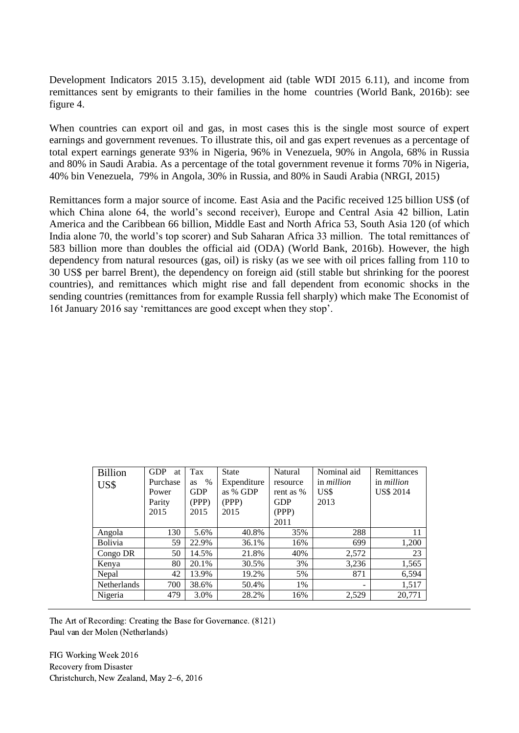Development Indicators 2015 3.15), development aid (table WDI 2015 6.11), and income from remittances sent by emigrants to their families in the home countries (World Bank, 2016b): see figure 4.

When countries can export oil and gas, in most cases this is the single most source of expert earnings and government revenues. To illustrate this, oil and gas expert revenues as a percentage of total expert earnings generate 93% in Nigeria, 96% in Venezuela, 90% in Angola, 68% in Russia and 80% in Saudi Arabia. As a percentage of the total government revenue it forms 70% in Nigeria, 40% bin Venezuela, 79% in Angola, 30% in Russia, and 80% in Saudi Arabia (NRGI, 2015)

Remittances form a major source of income. East Asia and the Pacific received 125 billion US\$ (of which China alone 64, the world's second receiver), Europe and Central Asia 42 billion, Latin America and the Caribbean 66 billion, Middle East and North Africa 53, South Asia 120 (of which India alone 70, the world's top scorer) and Sub Saharan Africa 33 million. The total remittances of 583 billion more than doubles the official aid (ODA) (World Bank, 2016b). However, the high dependency from natural resources (gas, oil) is risky (as we see with oil prices falling from 110 to 30 US\$ per barrel Brent), the dependency on foreign aid (still stable but shrinking for the poorest countries), and remittances which might rise and fall dependent from economic shocks in the sending countries (remittances from for example Russia fell sharply) which make The Economist of 16t January 2016 say 'remittances are good except when they stop'.

| <b>Billion</b>     | <b>GDP</b><br>at | Tax        | <b>State</b> | Natural    | Nominal aid              | Remittances       |
|--------------------|------------------|------------|--------------|------------|--------------------------|-------------------|
| US\$               | Purchase         | $\%$<br>as | Expenditure  | resource   | in <i>million</i>        | in <i>million</i> |
|                    | Power            | <b>GDP</b> | as % GDP     | rent as %  | US\$                     | <b>US\$ 2014</b>  |
|                    | Parity           | (PPP)      | (PPP)        | <b>GDP</b> | 2013                     |                   |
|                    | 2015             | 2015       | 2015         | (PPP)      |                          |                   |
|                    |                  |            |              | 2011       |                          |                   |
| Angola             | 130              | 5.6%       | 40.8%        | 35%        | 288                      | 11                |
| <b>Bolivia</b>     | 59               | 22.9%      | 36.1%        | 16%        | 699                      | 1,200             |
| Congo DR           | 50               | 14.5%      | 21.8%        | 40%        | 2,572                    | 23                |
| Kenya              | 80               | 20.1%      | 30.5%        | 3%         | 3,236                    | 1,565             |
| Nepal              | 42               | 13.9%      | 19.2%        | 5%         | 871                      | 6,594             |
| <b>Netherlands</b> | 700              | 38.6%      | 50.4%        | 1%         | $\overline{\phantom{0}}$ | 1,517             |
| Nigeria            | 479              | 3.0%       | 28.2%        | 16%        | 2,529                    | 20,771            |

The Art of Recording: Creating the Base for Governance. (8121) Paul van der Molen (Netherlands)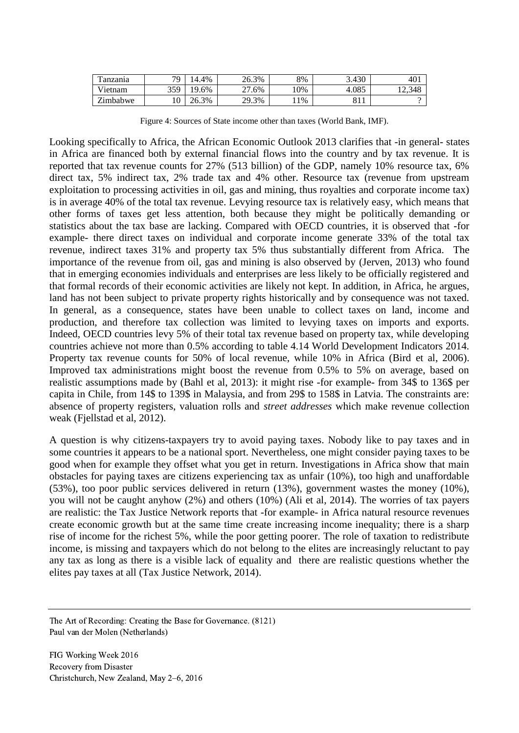| m<br>anzania | 70                   | 14.4%         | 26.3%       | 8%  | 3.430 | 401   |
|--------------|----------------------|---------------|-------------|-----|-------|-------|
| Vietnam      | 359                  | ιо.<br>$.6\%$ | ີ<br>$.6\%$ | 10% | 4.085 | 2.348 |
| Zimbabwe     | 1 <sub>0</sub><br>ΙU | 3%<br>ገሬ      | 29.3%       | 1%  | OII   |       |

Figure 4: Sources of State income other than taxes (World Bank, IMF).

Looking specifically to Africa, the African Economic Outlook 2013 clarifies that -in general- states in Africa are financed both by external financial flows into the country and by tax revenue. It is reported that tax revenue counts for 27% (513 billion) of the GDP, namely 10% resource tax, 6% direct tax, 5% indirect tax, 2% trade tax and 4% other. Resource tax (revenue from upstream exploitation to processing activities in oil, gas and mining, thus royalties and corporate income tax) is in average 40% of the total tax revenue. Levying resource tax is relatively easy, which means that other forms of taxes get less attention, both because they might be politically demanding or statistics about the tax base are lacking. Compared with OECD countries, it is observed that -for example- there direct taxes on individual and corporate income generate 33% of the total tax revenue, indirect taxes 31% and property tax 5% thus substantially different from Africa. The importance of the revenue from oil, gas and mining is also observed by (Jerven, 2013) who found that in emerging economies individuals and enterprises are less likely to be officially registered and that formal records of their economic activities are likely not kept. In addition, in Africa, he argues, land has not been subject to private property rights historically and by consequence was not taxed. In general, as a consequence, states have been unable to collect taxes on land, income and production, and therefore tax collection was limited to levying taxes on imports and exports. Indeed, OECD countries levy 5% of their total tax revenue based on property tax, while developing countries achieve not more than 0.5% according to table 4.14 World Development Indicators 2014. Property tax revenue counts for 50% of local revenue, while 10% in Africa (Bird et al, 2006). Improved tax administrations might boost the revenue from 0.5% to 5% on average, based on realistic assumptions made by (Bahl et al, 2013): it might rise -for example- from 34\$ to 136\$ per capita in Chile, from 14\$ to 139\$ in Malaysia, and from 29\$ to 158\$ in Latvia. The constraints are: absence of property registers, valuation rolls and *street addresses* which make revenue collection weak (Fjellstad et al, 2012).

A question is why citizens-taxpayers try to avoid paying taxes. Nobody like to pay taxes and in some countries it appears to be a national sport. Nevertheless, one might consider paying taxes to be good when for example they offset what you get in return. Investigations in Africa show that main obstacles for paying taxes are citizens experiencing tax as unfair (10%), too high and unaffordable (53%), too poor public services delivered in return (13%), government wastes the money (10%), you will not be caught anyhow (2%) and others (10%) (Ali et al, 2014). The worries of tax payers are realistic: the Tax Justice Network reports that -for example- in Africa natural resource revenues create economic growth but at the same time create increasing income inequality; there is a sharp rise of income for the richest 5%, while the poor getting poorer. The role of taxation to redistribute income, is missing and taxpayers which do not belong to the elites are increasingly reluctant to pay any tax as long as there is a visible lack of equality and there are realistic questions whether the elites pay taxes at all (Tax Justice Network, 2014).

The Art of Recording: Creating the Base for Governance. (8121) Paul van der Molen (Netherlands)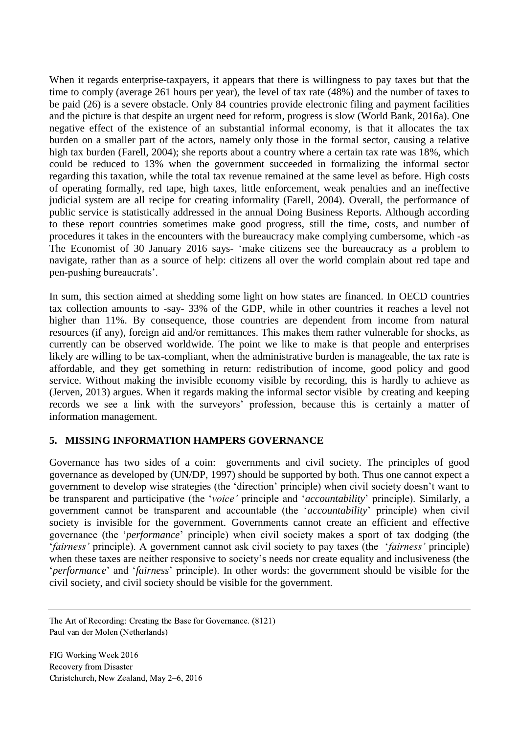When it regards enterprise-taxpayers, it appears that there is willingness to pay taxes but that the time to comply (average 261 hours per year), the level of tax rate (48%) and the number of taxes to be paid (26) is a severe obstacle. Only 84 countries provide electronic filing and payment facilities and the picture is that despite an urgent need for reform, progress is slow (World Bank, 2016a). One negative effect of the existence of an substantial informal economy, is that it allocates the tax burden on a smaller part of the actors, namely only those in the formal sector, causing a relative high tax burden (Farell, 2004); she reports about a country where a certain tax rate was 18%, which could be reduced to 13% when the government succeeded in formalizing the informal sector regarding this taxation, while the total tax revenue remained at the same level as before. High costs of operating formally, red tape, high taxes, little enforcement, weak penalties and an ineffective judicial system are all recipe for creating informality (Farell, 2004). Overall, the performance of public service is statistically addressed in the annual Doing Business Reports. Although according to these report countries sometimes make good progress, still the time, costs, and number of procedures it takes in the encounters with the bureaucracy make complying cumbersome, which -as The Economist of 30 January 2016 says- 'make citizens see the bureaucracy as a problem to navigate, rather than as a source of help: citizens all over the world complain about red tape and pen-pushing bureaucrats'.

In sum, this section aimed at shedding some light on how states are financed. In OECD countries tax collection amounts to -say- 33% of the GDP, while in other countries it reaches a level not higher than 11%. By consequence, those countries are dependent from income from natural resources (if any), foreign aid and/or remittances. This makes them rather vulnerable for shocks, as currently can be observed worldwide. The point we like to make is that people and enterprises likely are willing to be tax-compliant, when the administrative burden is manageable, the tax rate is affordable, and they get something in return: redistribution of income, good policy and good service. Without making the invisible economy visible by recording, this is hardly to achieve as (Jerven, 2013) argues. When it regards making the informal sector visible by creating and keeping records we see a link with the surveyors' profession, because this is certainly a matter of information management.

## **5. MISSING INFORMATION HAMPERS GOVERNANCE**

Governance has two sides of a coin: governments and civil society. The principles of good governance as developed by (UN/DP, 1997) should be supported by both. Thus one cannot expect a government to develop wise strategies (the 'direction' principle) when civil society doesn't want to be transparent and participative (the '*voice'* principle and '*accountability*' principle). Similarly, a government cannot be transparent and accountable (the '*accountability*' principle) when civil society is invisible for the government. Governments cannot create an efficient and effective governance (the '*performance*' principle) when civil society makes a sport of tax dodging (the '*fairness'* principle). A government cannot ask civil society to pay taxes (the '*fairness'* principle) when these taxes are neither responsive to society's needs nor create equality and inclusiveness (the '*performance*' and '*fairness*' principle). In other words: the government should be visible for the civil society, and civil society should be visible for the government.

The Art of Recording: Creating the Base for Governance. (8121) Paul van der Molen (Netherlands)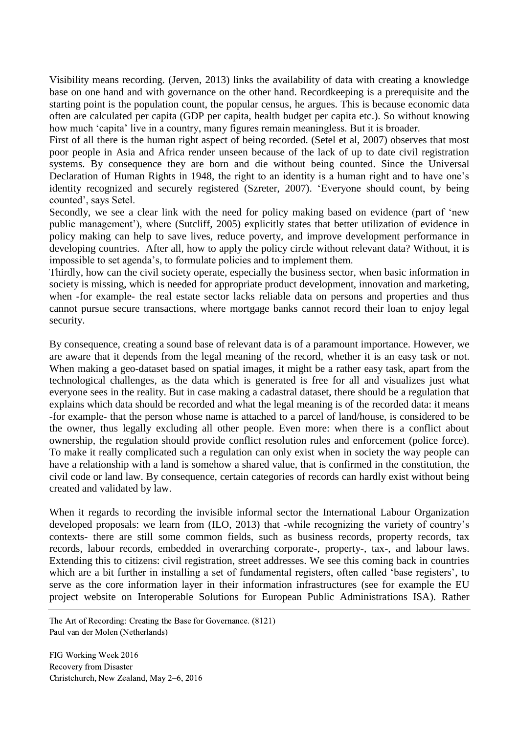Visibility means recording. (Jerven, 2013) links the availability of data with creating a knowledge base on one hand and with governance on the other hand. Recordkeeping is a prerequisite and the starting point is the population count, the popular census, he argues. This is because economic data often are calculated per capita (GDP per capita, health budget per capita etc.). So without knowing how much 'capita' live in a country, many figures remain meaningless. But it is broader.

First of all there is the human right aspect of being recorded. (Setel et al, 2007) observes that most poor people in Asia and Africa render unseen because of the lack of up to date civil registration systems. By consequence they are born and die without being counted. Since the Universal Declaration of Human Rights in 1948, the right to an identity is a human right and to have one's identity recognized and securely registered (Szreter, 2007). 'Everyone should count, by being counted', says Setel.

Secondly, we see a clear link with the need for policy making based on evidence (part of 'new public management'), where (Sutcliff, 2005) explicitly states that better utilization of evidence in policy making can help to save lives, reduce poverty, and improve development performance in developing countries. After all, how to apply the policy circle without relevant data? Without, it is impossible to set agenda's, to formulate policies and to implement them.

Thirdly, how can the civil society operate, especially the business sector, when basic information in society is missing, which is needed for appropriate product development, innovation and marketing, when -for example- the real estate sector lacks reliable data on persons and properties and thus cannot pursue secure transactions, where mortgage banks cannot record their loan to enjoy legal security.

By consequence, creating a sound base of relevant data is of a paramount importance. However, we are aware that it depends from the legal meaning of the record, whether it is an easy task or not. When making a geo-dataset based on spatial images, it might be a rather easy task, apart from the technological challenges, as the data which is generated is free for all and visualizes just what everyone sees in the reality. But in case making a cadastral dataset, there should be a regulation that explains which data should be recorded and what the legal meaning is of the recorded data: it means -for example- that the person whose name is attached to a parcel of land/house, is considered to be the owner, thus legally excluding all other people. Even more: when there is a conflict about ownership, the regulation should provide conflict resolution rules and enforcement (police force). To make it really complicated such a regulation can only exist when in society the way people can have a relationship with a land is somehow a shared value, that is confirmed in the constitution, the civil code or land law. By consequence, certain categories of records can hardly exist without being created and validated by law.

When it regards to recording the invisible informal sector the International Labour Organization developed proposals: we learn from (ILO, 2013) that -while recognizing the variety of country's contexts- there are still some common fields, such as business records, property records, tax records, labour records, embedded in overarching corporate-, property-, tax-, and labour laws. Extending this to citizens: civil registration, street addresses. We see this coming back in countries which are a bit further in installing a set of fundamental registers, often called 'base registers', to serve as the core information layer in their information infrastructures (see for example the EU project website on Interoperable Solutions for European Public Administrations ISA). Rather

The Art of Recording: Creating the Base for Governance. (8121) Paul van der Molen (Netherlands)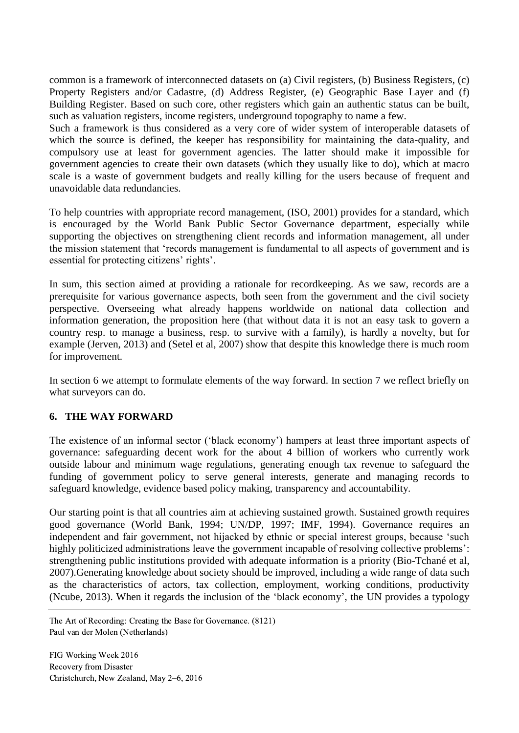common is a framework of interconnected datasets on (a) Civil registers, (b) Business Registers, (c) Property Registers and/or Cadastre, (d) Address Register, (e) Geographic Base Layer and (f) Building Register. Based on such core, other registers which gain an authentic status can be built, such as valuation registers, income registers, underground topography to name a few.

Such a framework is thus considered as a very core of wider system of interoperable datasets of which the source is defined, the keeper has responsibility for maintaining the data-quality, and compulsory use at least for government agencies. The latter should make it impossible for government agencies to create their own datasets (which they usually like to do), which at macro scale is a waste of government budgets and really killing for the users because of frequent and unavoidable data redundancies.

To help countries with appropriate record management, (ISO, 2001) provides for a standard, which is encouraged by the World Bank Public Sector Governance department, especially while supporting the objectives on strengthening client records and information management, all under the mission statement that 'records management is fundamental to all aspects of government and is essential for protecting citizens' rights'.

In sum, this section aimed at providing a rationale for recordkeeping. As we saw, records are a prerequisite for various governance aspects, both seen from the government and the civil society perspective. Overseeing what already happens worldwide on national data collection and information generation, the proposition here (that without data it is not an easy task to govern a country resp. to manage a business, resp. to survive with a family), is hardly a novelty, but for example (Jerven, 2013) and (Setel et al, 2007) show that despite this knowledge there is much room for improvement.

In section 6 we attempt to formulate elements of the way forward. In section 7 we reflect briefly on what surveyors can do.

## **6. THE WAY FORWARD**

The existence of an informal sector ('black economy') hampers at least three important aspects of governance: safeguarding decent work for the about 4 billion of workers who currently work outside labour and minimum wage regulations, generating enough tax revenue to safeguard the funding of government policy to serve general interests, generate and managing records to safeguard knowledge, evidence based policy making, transparency and accountability.

Our starting point is that all countries aim at achieving sustained growth. Sustained growth requires good governance (World Bank, 1994; UN/DP, 1997; IMF, 1994). Governance requires an independent and fair government, not hijacked by ethnic or special interest groups, because 'such highly politicized administrations leave the government incapable of resolving collective problems': strengthening public institutions provided with adequate information is a priority (Bio-Tchané et al, 2007).Generating knowledge about society should be improved, including a wide range of data such as the characteristics of actors, tax collection, employment, working conditions, productivity (Ncube, 2013). When it regards the inclusion of the 'black economy', the UN provides a typology

The Art of Recording: Creating the Base for Governance. (8121) Paul van der Molen (Netherlands)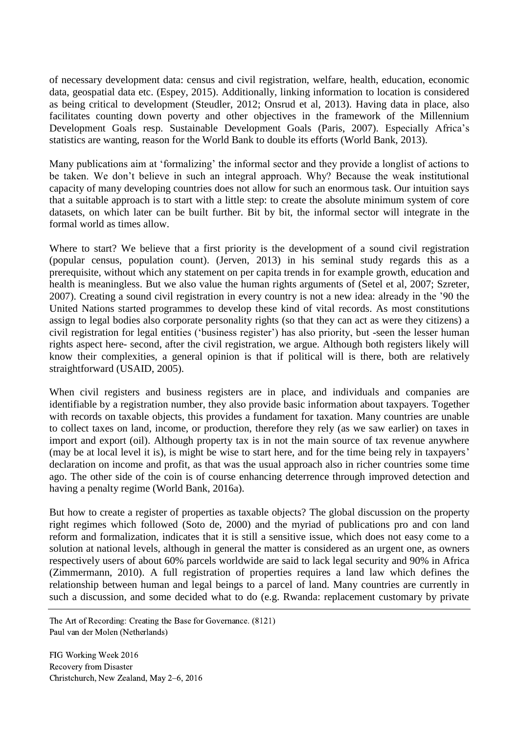of necessary development data: census and civil registration, welfare, health, education, economic data, geospatial data etc. (Espey, 2015). Additionally, linking information to location is considered as being critical to development (Steudler, 2012; Onsrud et al, 2013). Having data in place, also facilitates counting down poverty and other objectives in the framework of the Millennium Development Goals resp. Sustainable Development Goals (Paris, 2007). Especially Africa's statistics are wanting, reason for the World Bank to double its efforts (World Bank, 2013).

Many publications aim at 'formalizing' the informal sector and they provide a longlist of actions to be taken. We don't believe in such an integral approach. Why? Because the weak institutional capacity of many developing countries does not allow for such an enormous task. Our intuition says that a suitable approach is to start with a little step: to create the absolute minimum system of core datasets, on which later can be built further. Bit by bit, the informal sector will integrate in the formal world as times allow.

Where to start? We believe that a first priority is the development of a sound civil registration (popular census, population count). (Jerven, 2013) in his seminal study regards this as a prerequisite, without which any statement on per capita trends in for example growth, education and health is meaningless. But we also value the human rights arguments of (Setel et al, 2007; Szreter, 2007). Creating a sound civil registration in every country is not a new idea: already in the '90 the United Nations started programmes to develop these kind of vital records. As most constitutions assign to legal bodies also corporate personality rights (so that they can act as were they citizens) a civil registration for legal entities ('business register') has also priority, but -seen the lesser human rights aspect here- second, after the civil registration, we argue. Although both registers likely will know their complexities, a general opinion is that if political will is there, both are relatively straightforward (USAID, 2005).

When civil registers and business registers are in place, and individuals and companies are identifiable by a registration number, they also provide basic information about taxpayers. Together with records on taxable objects, this provides a fundament for taxation. Many countries are unable to collect taxes on land, income, or production, therefore they rely (as we saw earlier) on taxes in import and export (oil). Although property tax is in not the main source of tax revenue anywhere (may be at local level it is), is might be wise to start here, and for the time being rely in taxpayers' declaration on income and profit, as that was the usual approach also in richer countries some time ago. The other side of the coin is of course enhancing deterrence through improved detection and having a penalty regime (World Bank, 2016a).

But how to create a register of properties as taxable objects? The global discussion on the property right regimes which followed (Soto de, 2000) and the myriad of publications pro and con land reform and formalization, indicates that it is still a sensitive issue, which does not easy come to a solution at national levels, although in general the matter is considered as an urgent one, as owners respectively users of about 60% parcels worldwide are said to lack legal security and 90% in Africa (Zimmermann, 2010). A full registration of properties requires a land law which defines the relationship between human and legal beings to a parcel of land. Many countries are currently in such a discussion, and some decided what to do (e.g. Rwanda: replacement customary by private

The Art of Recording: Creating the Base for Governance. (8121) Paul van der Molen (Netherlands)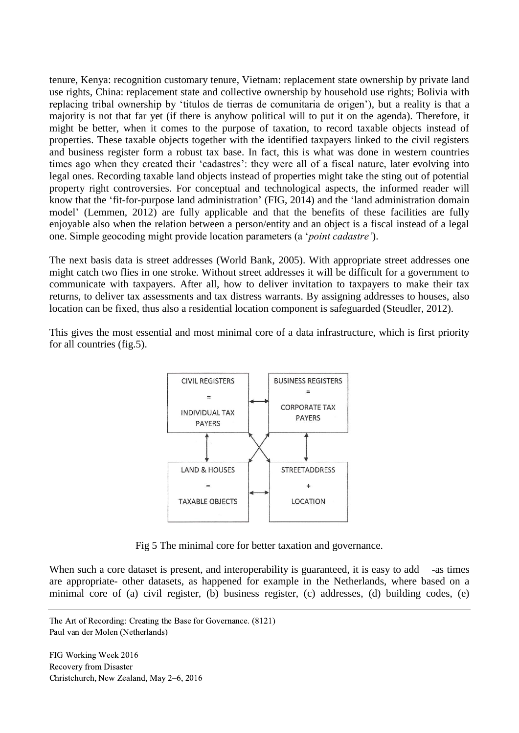tenure, Kenya: recognition customary tenure, Vietnam: replacement state ownership by private land use rights, China: replacement state and collective ownership by household use rights; Bolivia with replacing tribal ownership by 'titulos de tierras de comunitaria de origen'), but a reality is that a majority is not that far yet (if there is anyhow political will to put it on the agenda). Therefore, it might be better, when it comes to the purpose of taxation, to record taxable objects instead of properties. These taxable objects together with the identified taxpayers linked to the civil registers and business register form a robust tax base. In fact, this is what was done in western countries times ago when they created their 'cadastres': they were all of a fiscal nature, later evolving into legal ones. Recording taxable land objects instead of properties might take the sting out of potential property right controversies. For conceptual and technological aspects, the informed reader will know that the 'fit-for-purpose land administration' (FIG, 2014) and the 'land administration domain model' (Lemmen, 2012) are fully applicable and that the benefits of these facilities are fully enjoyable also when the relation between a person/entity and an object is a fiscal instead of a legal one. Simple geocoding might provide location parameters (a '*point cadastre'*).

The next basis data is street addresses (World Bank, 2005). With appropriate street addresses one might catch two flies in one stroke. Without street addresses it will be difficult for a government to communicate with taxpayers. After all, how to deliver invitation to taxpayers to make their tax returns, to deliver tax assessments and tax distress warrants. By assigning addresses to houses, also location can be fixed, thus also a residential location component is safeguarded (Steudler, 2012).

This gives the most essential and most minimal core of a data infrastructure, which is first priority for all countries (fig.5).



Fig 5 The minimal core for better taxation and governance.

When such a core dataset is present, and interoperability is guaranteed, it is easy to add -as times are appropriate- other datasets, as happened for example in the Netherlands, where based on a minimal core of (a) civil register, (b) business register, (c) addresses, (d) building codes, (e)

The Art of Recording: Creating the Base for Governance. (8121) Paul van der Molen (Netherlands)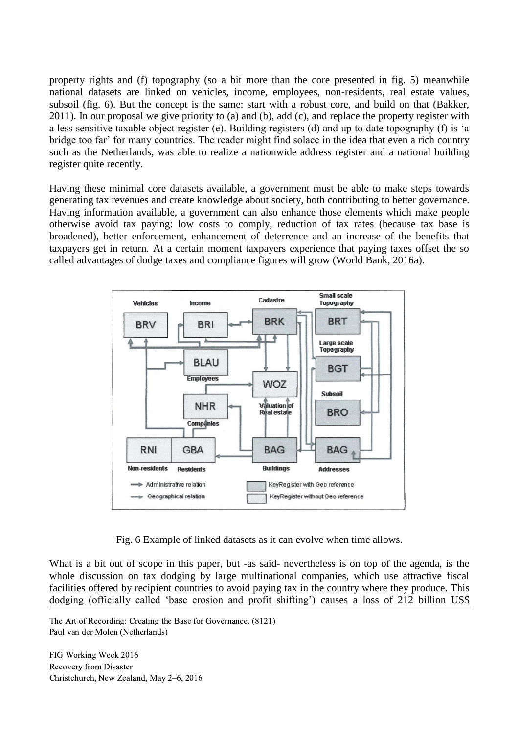property rights and (f) topography (so a bit more than the core presented in fig. 5) meanwhile national datasets are linked on vehicles, income, employees, non-residents, real estate values, subsoil (fig. 6). But the concept is the same: start with a robust core, and build on that (Bakker, 2011). In our proposal we give priority to (a) and (b), add (c), and replace the property register with a less sensitive taxable object register (e). Building registers (d) and up to date topography (f) is 'a bridge too far' for many countries. The reader might find solace in the idea that even a rich country such as the Netherlands, was able to realize a nationwide address register and a national building register quite recently.

Having these minimal core datasets available, a government must be able to make steps towards generating tax revenues and create knowledge about society, both contributing to better governance. Having information available, a government can also enhance those elements which make people otherwise avoid tax paying: low costs to comply, reduction of tax rates (because tax base is broadened), better enforcement, enhancement of deterrence and an increase of the benefits that taxpayers get in return. At a certain moment taxpayers experience that paying taxes offset the so called advantages of dodge taxes and compliance figures will grow (World Bank, 2016a).



Fig. 6 Example of linked datasets as it can evolve when time allows.

What is a bit out of scope in this paper, but -as said- nevertheless is on top of the agenda, is the whole discussion on tax dodging by large multinational companies, which use attractive fiscal facilities offered by recipient countries to avoid paying tax in the country where they produce. This dodging (officially called 'base erosion and profit shifting') causes a loss of 212 billion US\$

The Art of Recording: Creating the Base for Governance. (8121) Paul van der Molen (Netherlands)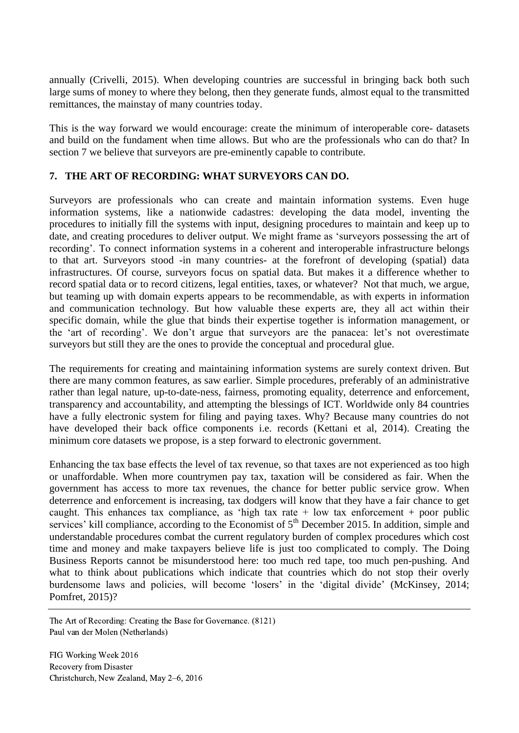annually (Crivelli, 2015). When developing countries are successful in bringing back both such large sums of money to where they belong, then they generate funds, almost equal to the transmitted remittances, the mainstay of many countries today.

This is the way forward we would encourage: create the minimum of interoperable core- datasets and build on the fundament when time allows. But who are the professionals who can do that? In section 7 we believe that surveyors are pre-eminently capable to contribute.

## **7. THE ART OF RECORDING: WHAT SURVEYORS CAN DO.**

Surveyors are professionals who can create and maintain information systems. Even huge information systems, like a nationwide cadastres: developing the data model, inventing the procedures to initially fill the systems with input, designing procedures to maintain and keep up to date, and creating procedures to deliver output. We might frame as 'surveyors possessing the art of recording'. To connect information systems in a coherent and interoperable infrastructure belongs to that art. Surveyors stood -in many countries- at the forefront of developing (spatial) data infrastructures. Of course, surveyors focus on spatial data. But makes it a difference whether to record spatial data or to record citizens, legal entities, taxes, or whatever? Not that much, we argue, but teaming up with domain experts appears to be recommendable, as with experts in information and communication technology. But how valuable these experts are, they all act within their specific domain, while the glue that binds their expertise together is information management, or the 'art of recording'. We don't argue that surveyors are the panacea: let's not overestimate surveyors but still they are the ones to provide the conceptual and procedural glue.

The requirements for creating and maintaining information systems are surely context driven. But there are many common features, as saw earlier. Simple procedures, preferably of an administrative rather than legal nature, up-to-date-ness, fairness, promoting equality, deterrence and enforcement, transparency and accountability, and attempting the blessings of ICT. Worldwide only 84 countries have a fully electronic system for filing and paying taxes. Why? Because many countries do not have developed their back office components i.e. records (Kettani et al, 2014). Creating the minimum core datasets we propose, is a step forward to electronic government.

Enhancing the tax base effects the level of tax revenue, so that taxes are not experienced as too high or unaffordable. When more countrymen pay tax, taxation will be considered as fair. When the government has access to more tax revenues, the chance for better public service grow. When deterrence and enforcement is increasing, tax dodgers will know that they have a fair chance to get caught. This enhances tax compliance, as 'high tax rate  $+$  low tax enforcement  $+$  poor public services' kill compliance, according to the Economist of  $5<sup>th</sup>$  December 2015. In addition, simple and understandable procedures combat the current regulatory burden of complex procedures which cost time and money and make taxpayers believe life is just too complicated to comply. The Doing Business Reports cannot be misunderstood here: too much red tape, too much pen-pushing. And what to think about publications which indicate that countries which do not stop their overly burdensome laws and policies, will become 'losers' in the 'digital divide' (McKinsey, 2014; Pomfret, 2015)?

The Art of Recording: Creating the Base for Governance. (8121) Paul van der Molen (Netherlands)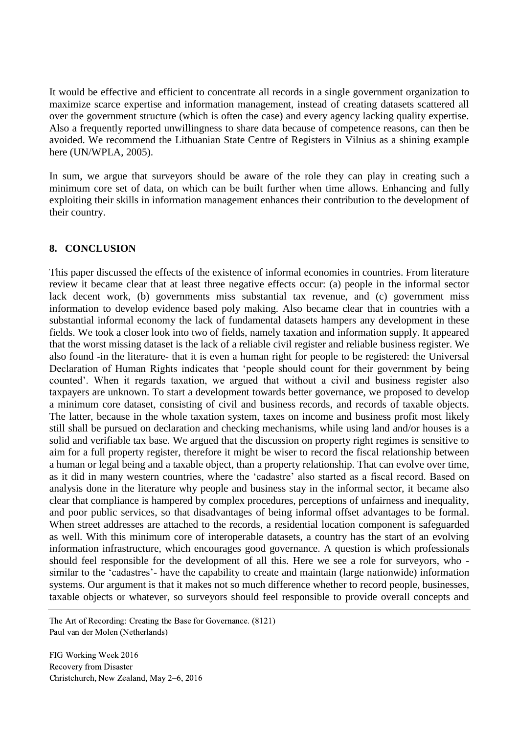It would be effective and efficient to concentrate all records in a single government organization to maximize scarce expertise and information management, instead of creating datasets scattered all over the government structure (which is often the case) and every agency lacking quality expertise. Also a frequently reported unwillingness to share data because of competence reasons, can then be avoided. We recommend the Lithuanian State Centre of Registers in Vilnius as a shining example here (UN/WPLA, 2005).

In sum, we argue that surveyors should be aware of the role they can play in creating such a minimum core set of data, on which can be built further when time allows. Enhancing and fully exploiting their skills in information management enhances their contribution to the development of their country.

## **8. CONCLUSION**

This paper discussed the effects of the existence of informal economies in countries. From literature review it became clear that at least three negative effects occur: (a) people in the informal sector lack decent work, (b) governments miss substantial tax revenue, and (c) government miss information to develop evidence based poly making. Also became clear that in countries with a substantial informal economy the lack of fundamental datasets hampers any development in these fields. We took a closer look into two of fields, namely taxation and information supply. It appeared that the worst missing dataset is the lack of a reliable civil register and reliable business register. We also found -in the literature- that it is even a human right for people to be registered: the Universal Declaration of Human Rights indicates that 'people should count for their government by being counted'. When it regards taxation, we argued that without a civil and business register also taxpayers are unknown. To start a development towards better governance, we proposed to develop a minimum core dataset, consisting of civil and business records, and records of taxable objects. The latter, because in the whole taxation system, taxes on income and business profit most likely still shall be pursued on declaration and checking mechanisms, while using land and/or houses is a solid and verifiable tax base. We argued that the discussion on property right regimes is sensitive to aim for a full property register, therefore it might be wiser to record the fiscal relationship between a human or legal being and a taxable object, than a property relationship. That can evolve over time, as it did in many western countries, where the 'cadastre' also started as a fiscal record. Based on analysis done in the literature why people and business stay in the informal sector, it became also clear that compliance is hampered by complex procedures, perceptions of unfairness and inequality, and poor public services, so that disadvantages of being informal offset advantages to be formal. When street addresses are attached to the records, a residential location component is safeguarded as well. With this minimum core of interoperable datasets, a country has the start of an evolving information infrastructure, which encourages good governance. A question is which professionals should feel responsible for the development of all this. Here we see a role for surveyors, who similar to the 'cadastres'- have the capability to create and maintain (large nationwide) information systems. Our argument is that it makes not so much difference whether to record people, businesses, taxable objects or whatever, so surveyors should feel responsible to provide overall concepts and

The Art of Recording: Creating the Base for Governance. (8121) Paul van der Molen (Netherlands)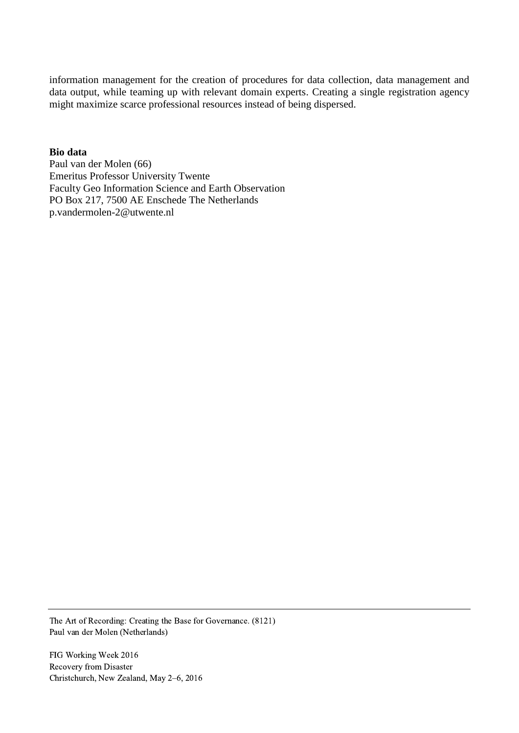information management for the creation of procedures for data collection, data management and data output, while teaming up with relevant domain experts. Creating a single registration agency might maximize scarce professional resources instead of being dispersed.

#### **Bio data**

Paul van der Molen (66) Emeritus Professor University Twente Faculty Geo Information Science and Earth Observation PO Box 217, 7500 AE Enschede The Netherlands p.vandermolen-2@utwente.nl

The Art of Recording: Creating the Base for Governance. (8121) Paul van der Molen (Netherlands)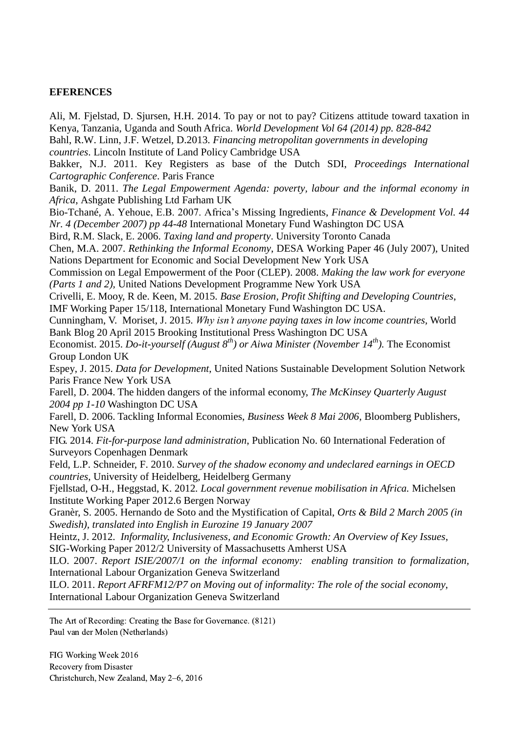#### **EFERENCES**

Ali, M. Fjelstad, D. Sjursen, H.H. 2014. To pay or not to pay? Citizens attitude toward taxation in Kenya, Tanzania, Uganda and South Africa. *World Development Vol 64 (2014) pp. 828-842* Bahl, R.W. Linn, J.F. Wetzel, D.2013. *Financing metropolitan governments in developing countries*. Lincoln Institute of Land Policy Cambridge USA Bakker, N.J. 2011. Key Registers as base of the Dutch SDI, *Proceedings International Cartographic Conference*. Paris France Banik, D. 2011. *The Legal Empowerment Agenda: poverty, labour and the informal economy in Africa*, Ashgate Publishing Ltd Farham UK Bio-Tchané, A. Yehoue, E.B. 2007. Africa's Missing Ingredients, *Finance & Development Vol. 44 Nr. 4 (December 2007) pp 44-48* International Monetary Fund Washington DC USA Bird, R.M. Slack, E. 2006. *Taxing land and property*. University Toronto Canada Chen, M.A. 2007. *Rethinking the Informal Economy*, DESA Working Paper 46 (July 2007), United Nations Department for Economic and Social Development New York USA Commission on Legal Empowerment of the Poor (CLEP). 2008. *Making the law work for everyone (Parts 1 and 2),* United Nations Development Programme New York USA Crivelli, E. Mooy, R de. Keen, M. 2015. *Base Erosion, Profit Shifting and Developing Countries*, IMF Working Paper 15/118, International Monetary Fund Washington DC USA. Cunningham, V. Moriset, J. 2015. *Why isn't anyone paying taxes in low income countries,* World Bank Blog 20 April 2015 Brooking Institutional Press Washington DC USA Economist. 2015. *Do-it-yourself (August 8th) or Aiwa Minister (November 14th).* The Economist Group London UK Espey, J. 2015. *Data for Development*, United Nations Sustainable Development Solution Network Paris France New York USA Farell, D. 2004. The hidden dangers of the informal economy, *The McKinsey Quarterly August 2004 pp 1-10* Washington DC USA Farell, D. 2006. Tackling Informal Economies, *Business Week 8 Mai 2006*, Bloomberg Publishers, New York USA FIG. 2014. *Fit-for-purpose land administration*, Publication No. 60 International Federation of Surveyors Copenhagen Denmark Feld, L.P. Schneider, F. 2010. *Survey of the shadow economy and undeclared earnings in OECD countries*, University of Heidelberg, Heidelberg Germany Fjellstad, O-H., Heggstad, K. 2012*. Local government revenue mobilisation in Africa.* Michelsen Institute Working Paper 2012.6 Bergen Norway Granèr, S. 2005. Hernando de Soto and the Mystification of Capital, *Orts & Bild 2 March 2005 (in Swedish), translated into English in Eurozine 19 January 2007* Heintz, J. 2012. *Informality, Inclusiveness, and Economic Growth: An Overview of Key Issues*, SIG-Working Paper 2012/2 University of Massachusetts Amherst USA ILO. 2007. *Report ISIE/2007/1 on the informal economy: enabling transition to formalization,* International Labour Organization Geneva Switzerland ILO. 2011. *Report AFRFM12/P7 on Moving out of informality: The role of the social economy*, International Labour Organization Geneva Switzerland

The Art of Recording: Creating the Base for Governance. (8121) Paul van der Molen (Netherlands)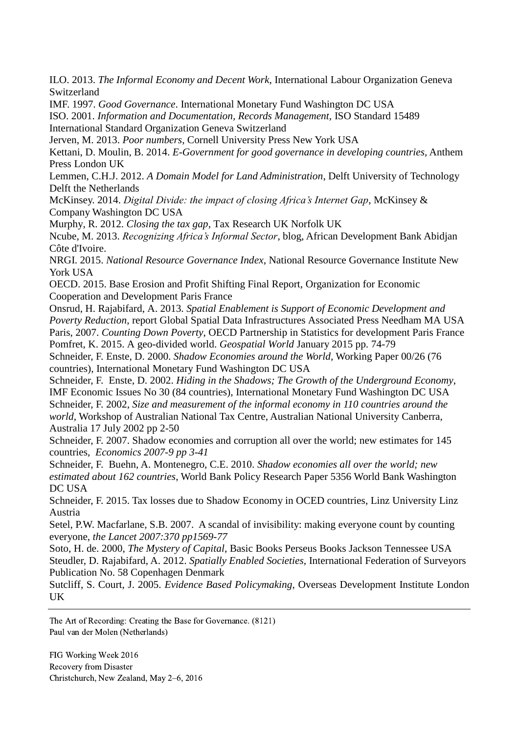ILO. 2013. *The Informal Economy and Decent Work*, International Labour Organization Geneva Switzerland

IMF. 1997. *Good Governance*. International Monetary Fund Washington DC USA

ISO. 2001. *Information and Documentation, Records Management*, ISO Standard 15489 International Standard Organization Geneva Switzerland

Jerven, M. 2013. *Poor numbers*, Cornell University Press New York USA

Kettani, D. Moulin, B. 2014. *E-Government for good governance in developing countries,* Anthem Press London UK

Lemmen, C.H.J. 2012. *A Domain Model for Land Administration*, Delft University of Technology Delft the Netherlands

McKinsey. 2014. *Digital Divide: the impact of closing Africa's Internet Gap*, McKinsey & Company Washington DC USA

Murphy, R. 2012. *Closing the tax gap*, Tax Research UK Norfolk UK

Ncube, M. 2013. *Recognizing Africa's Informal Sector*, blog, African Development Bank Abidjan Côte d'Ivoire.

NRGI. 2015. *National Resource Governance Index*, National Resource Governance Institute New York USA

OECD. 2015. Base Erosion and Profit Shifting Final Report, Organization for Economic Cooperation and Development Paris France

Onsrud, H. Rajabifard, A. 2013. *Spatial Enablement is Support of Economic Development and Poverty Reduction*, report Global Spatial Data Infrastructures Associated Press Needham MA USA Paris, 2007. *Counting Down Poverty*, OECD Partnership in Statistics for development Paris France Pomfret, K. 2015. A geo-divided world. *Geospatial World* January 2015 pp. 74-79

Schneider, F. Enste, D. 2000. *Shadow Economies around the World,* Working Paper 00/26 (76 countries), International Monetary Fund Washington DC USA

Schneider, F. Enste, D. 2002. *Hiding in the Shadows; The Growth of the Underground Economy*, IMF Economic Issues No 30 (84 countries), International Monetary Fund Washington DC USA Schneider, F. 2002, *Size and measurement of the informal economy in 110 countries around the world*, Workshop of Australian National Tax Centre, Australian National University Canberra, Australia 17 July 2002 pp 2-50

Schneider, F. 2007. Shadow economies and corruption all over the world; new estimates for 145 countries, *Economics 2007-9 pp 3-41*

Schneider, F. Buehn, A. Montenegro, C.E. 2010. *Shadow economies all over the world; new estimated about 162 countries*, World Bank Policy Research Paper 5356 World Bank Washington DC USA

Schneider, F. 2015. Tax losses due to Shadow Economy in OCED countries, Linz University Linz Austria

Setel, P.W. Macfarlane, S.B. 2007. A scandal of invisibility: making everyone count by counting everyone, *the Lancet 2007:370 pp1569-77*

Soto, H. de. 2000, *The Mystery of Capital*, Basic Books Perseus Books Jackson Tennessee USA Steudler, D. Rajabifard, A. 2012. *Spatially Enabled Societies*, International Federation of Surveyors Publication No. 58 Copenhagen Denmark

Sutcliff, S. Court, J. 2005. *Evidence Based Policymaking*, Overseas Development Institute London **IK** 

The Art of Recording: Creating the Base for Governance. (8121) Paul van der Molen (Netherlands)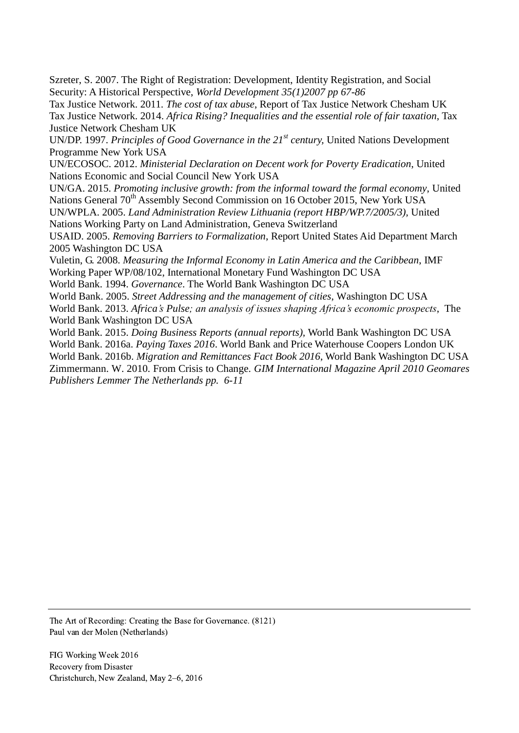Szreter, S. 2007. The Right of Registration: Development, Identity Registration, and Social Security: A Historical Perspective, *World Development 35(1)2007 pp 67-86*

Tax Justice Network. 2011. *The cost of tax abuse*, Report of Tax Justice Network Chesham UK Tax Justice Network. 2014. *Africa Rising? Inequalities and the essential role of fair taxation*, Tax Justice Network Chesham UK

UN/DP. 1997. *Principles of Good Governance in the 21st century,* United Nations Development Programme New York USA

UN/ECOSOC. 2012. *Ministerial Declaration on Decent work for Poverty Eradication*, United Nations Economic and Social Council New York USA

UN/GA. 2015. *Promoting inclusive growth: from the informal toward the formal economy*, United Nations General 70<sup>th</sup> Assembly Second Commission on 16 October 2015, New York USA

UN/WPLA. 2005. *Land Administration Review Lithuania (report HBP/WP.7/2005/3),* United Nations Working Party on Land Administration, Geneva Switzerland

USAID. 2005. *Removing Barriers to Formalization*, Report United States Aid Department March 2005 Washington DC USA

Vuletin, G. 2008. *Measuring the Informal Economy in Latin America and the Caribbean*, IMF Working Paper WP/08/102, International Monetary Fund Washington DC USA

World Bank. 1994. *Governance*. The World Bank Washington DC USA

World Bank. 2005. *Street Addressing and the management of cities*, Washington DC USA World Bank. 2013. *Africa's Pulse; an analysis of issues shaping Africa's economic prospects*, The World Bank Washington DC USA

World Bank. 2015. *Doing Business Reports (annual reports),* World Bank Washington DC USA World Bank. 2016a. *Paying Taxes 2016*. World Bank and Price Waterhouse Coopers London UK World Bank. 2016b. *Migration and Remittances Fact Book 2016*, World Bank Washington DC USA Zimmermann. W. 2010. From Crisis to Change. *GIM International Magazine April 2010 Geomares Publishers Lemmer The Netherlands pp. 6-11*

The Art of Recording: Creating the Base for Governance. (8121) Paul van der Molen (Netherlands)